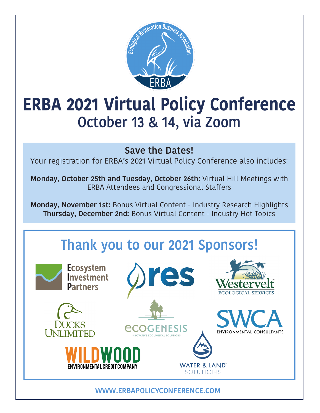

# **ERBA 2021 Virtual Policy Conference October 13 & 14, via Zoom**

#### **Save the Dates!**

Your registration for ERBA's 2021 Virtual Policy Conference also includes:

**Monday, October 25th and Tuesday, October 26th:** Virtual Hill Meetings with ERBA Attendees and Congressional Staffers

**Monday, November 1st:** Bonus Virtual Content - Industry Research Highlights **Thursday, December 2nd:** Bonus Virtual Content - Industry Hot Topics

## **Thank you to our 2021 Sponsors!**

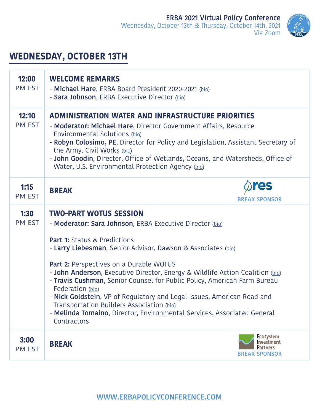

### **WEDNESDAY, OCTOBER 13TH**

| 12:00<br>PM EST       | <b>WELCOME REMARKS</b><br>- Michael Hare, ERBA Board President 2020-2021 (bio)<br>- Sara Johnson, ERBA Executive Director (bio)                                                                                                                                                                                                                                                                                                                                                                                                                                                                                                                   |
|-----------------------|---------------------------------------------------------------------------------------------------------------------------------------------------------------------------------------------------------------------------------------------------------------------------------------------------------------------------------------------------------------------------------------------------------------------------------------------------------------------------------------------------------------------------------------------------------------------------------------------------------------------------------------------------|
| 12:10<br>PM EST       | <b>ADMINISTRATION WATER AND INFRASTRUCTURE PRIORITIES</b><br>- Moderator: Michael Hare, Director Government Affairs, Resource<br>Environmental Solutions (bio)<br>- Robyn Colosimo, PE, Director for Policy and Legislation, Assistant Secretary of<br>the Army, Civil Works (bio)<br>- John Goodin, Director, Office of Wetlands, Oceans, and Watersheds, Office of<br>Water, U.S. Environmental Protection Agency (bio)                                                                                                                                                                                                                         |
| 1:15<br>PM EST        | res<br><b>BREAK</b><br><b>BREAK SPONSOR</b>                                                                                                                                                                                                                                                                                                                                                                                                                                                                                                                                                                                                       |
| 1:30<br><b>PM EST</b> | <b>TWO-PART WOTUS SESSION</b><br>- Moderator: Sara Johnson, ERBA Executive Director (bio)<br><b>Part 1: Status &amp; Predictions</b><br>- Larry Liebesman, Senior Advisor, Dawson & Associates (bio)<br>Part 2: Perspectives on a Durable WOTUS<br>- John Anderson, Executive Director, Energy & Wildlife Action Coalition (bio)<br>- Travis Cushman, Senior Counsel for Public Policy, American Farm Bureau<br>Federation (bio)<br>- Nick Goldstein, VP of Regulatory and Legal Issues, American Road and<br>Transportation Builders Association (bio)<br>- Melinda Tomaino, Director, Environmental Services, Associated General<br>Contractors |
| 3:00<br>PM EST        | <b>Ecosystem</b><br><b>Investment</b><br><b>BREAK</b><br><b>Partners</b><br><b>BREAK SPONSOR</b>                                                                                                                                                                                                                                                                                                                                                                                                                                                                                                                                                  |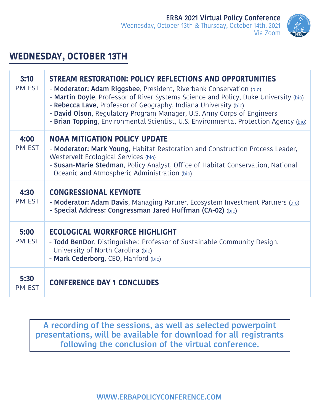

#### **WEDNESDAY, OCTOBER 13TH**

| 3:10<br><b>PM EST</b> | STREAM RESTORATION: POLICY REFLECTIONS AND OPPORTUNITIES<br>- Moderator: Adam Riggsbee, President, Riverbank Conservation (bio)<br>- Martin Doyle, Professor of River Systems Science and Policy, Duke University (bio)<br>- Rebecca Lave, Professor of Geography, Indiana University (bio)<br>- David Olson, Regulatory Program Manager, U.S. Army Corps of Engineers<br>- Brian Topping, Environmental Scientist, U.S. Environmental Protection Agency (bio) |
|-----------------------|----------------------------------------------------------------------------------------------------------------------------------------------------------------------------------------------------------------------------------------------------------------------------------------------------------------------------------------------------------------------------------------------------------------------------------------------------------------|
| 4:00<br><b>PM EST</b> | <b>NOAA MITIGATION POLICY UPDATE</b><br>- Moderator: Mark Young, Habitat Restoration and Construction Process Leader,<br>Westervelt Ecological Services (bio)<br>- Susan-Marie Stedman, Policy Analyst, Office of Habitat Conservation, National<br>Oceanic and Atmospheric Administration (bio)                                                                                                                                                               |
| 4:30<br><b>PM EST</b> | <b>CONGRESSIONAL KEYNOTE</b><br>- Moderator: Adam Davis, Managing Partner, Ecosystem Investment Partners (bio)<br>- Special Address: Congressman Jared Huffman (CA-02) (bio)                                                                                                                                                                                                                                                                                   |
| 5:00<br>PM EST        | <b>ECOLOGICAL WORKFORCE HIGHLIGHT</b><br>- Todd BenDor, Distinguished Professor of Sustainable Community Design,<br>University of North Carolina (bio)<br>- Mark Cederborg, CEO, Hanford (bio)                                                                                                                                                                                                                                                                 |
| 5:30<br><b>PM EST</b> | <b>CONFERENCE DAY 1 CONCLUDES</b>                                                                                                                                                                                                                                                                                                                                                                                                                              |

**A recording of the sessions, as well as selected powerpoint presentations, will be available for download for all registrants following the conclusion of the virtual conference.**